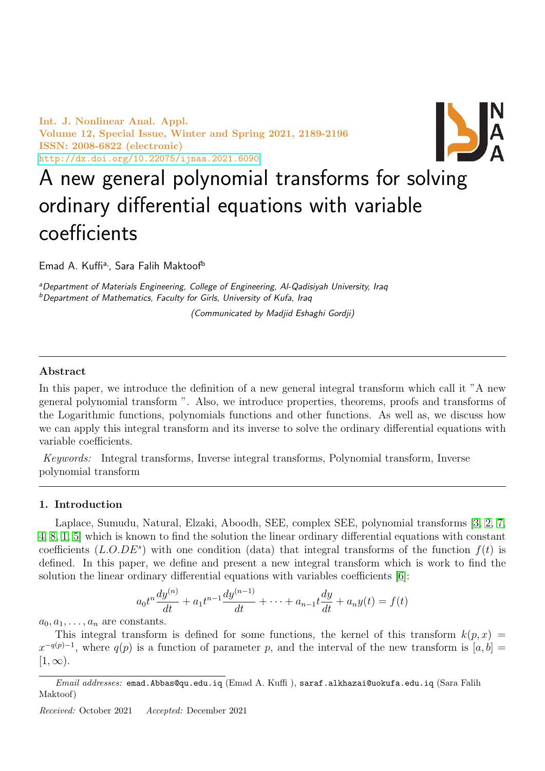Int. J. Nonlinear Anal. Appl. Volume 12, Special Issue, Winter and Spring 2021, 2189-2196 ISSN: 2008-6822 (electronic) <http://dx.doi.org/10.22075/ijnaa.2021.6090>



# A new general polynomial transforms for solving ordinary differential equations with variable coefficients

Emad A. Kuffi<sup>a,</sup>, Sara Falih Maktoof<sup>b</sup>

aDepartment of Materials Engineering, College of Engineering, Al-Qadisiyah University, Iraq <sup>b</sup>Department of Mathematics, Faculty for Girls, University of Kufa, Iraq

(Communicated by Madjid Eshaghi Gordji)

### Abstract

In this paper, we introduce the definition of a new general integral transform which call it "A new general polynomial transform ". Also, we introduce properties, theorems, proofs and transforms of the Logarithmic functions, polynomials functions and other functions. As well as, we discuss how we can apply this integral transform and its inverse to solve the ordinary differential equations with variable coefficients.

Keywords: Integral transforms, Inverse integral transforms, Polynomial transform, Inverse polynomial transform

#### 1. Introduction

Laplace, Sumudu, Natural, Elzaki, Aboodh, SEE, complex SEE, polynomial transforms [\[3,](#page-7-0) [2,](#page-7-1) [7,](#page-7-2) [4,](#page-7-3) [8,](#page-7-4) [1,](#page-7-5) [5\]](#page-7-6) which is known to find the solution the linear ordinary differential equations with constant coefficients  $(L.O.DE^s)$  with one condition (data) that integral transforms of the function  $f(t)$  is defined. In this paper, we define and present a new integral transform which is work to find the solution the linear ordinary differential equations with variables coefficients [\[6\]](#page-7-7):

$$
a_0t^n\frac{dy^{(n)}}{dt} + a_1t^{n-1}\frac{dy^{(n-1)}}{dt} + \dots + a_{n-1}t\frac{dy}{dt} + a_ny(t) = f(t)
$$

 $a_0, a_1, \ldots, a_n$  are constants.

This integral transform is defined for some functions, the kernel of this transform  $k(p, x)$  =  $x^{-q(p)-1}$ , where  $q(p)$  is a function of parameter p, and the interval of the new transform is  $[a, b] =$  $[1, \infty)$ .

Received: October 2021 Accepted: December 2021

 $Email \ addresses:$  emad.Abbas@qu.edu.iq (Emad A. Kuffi), saraf.alkhazai@uokufa.edu.iq (Sara Falih Maktoof)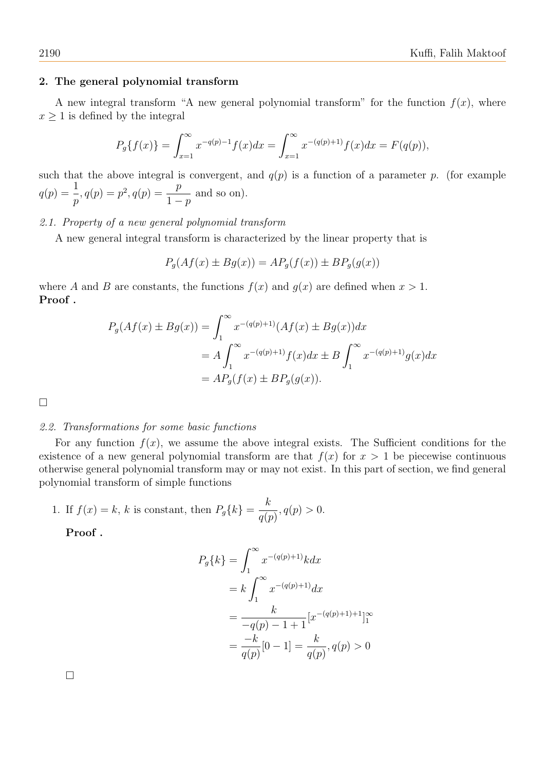#### 2. The general polynomial transform

A new integral transform "A new general polynomial transform" for the function  $f(x)$ , where  $x \geq 1$  is defined by the integral

$$
P_g\{f(x)\} = \int_{x=1}^{\infty} x^{-q(p)-1} f(x) dx = \int_{x=1}^{\infty} x^{-(q(p)+1)} f(x) dx = F(q(p)),
$$

such that the above integral is convergent, and  $q(p)$  is a function of a parameter p. (for example  $q(p) = \frac{1}{p}$ p  $, q(p) = p^2, q(p) = \frac{p}{1-p}$  $1-p$ and so on).

### 2.1. Property of a new general polynomial transform

A new general integral transform is characterized by the linear property that is

$$
P_g(Af(x) \pm Bg(x)) = AP_g(f(x)) \pm BP_g(g(x))
$$

where A and B are constants, the functions  $f(x)$  and  $g(x)$  are defined when  $x > 1$ . Proof .

$$
P_g(Af(x) \pm Bg(x)) = \int_1^{\infty} x^{-(q(p)+1)} (Af(x) \pm Bg(x)) dx
$$
  
=  $A \int_1^{\infty} x^{-(q(p)+1)} f(x) dx \pm B \int_1^{\infty} x^{-(q(p)+1)} g(x) dx$   
=  $AP_g(f(x) \pm BP_g(g(x))).$ 

□

### 2.2. Transformations for some basic functions

For any function  $f(x)$ , we assume the above integral exists. The Sufficient conditions for the existence of a new general polynomial transform are that  $f(x)$  for  $x > 1$  be piecewise continuous otherwise general polynomial transform may or may not exist. In this part of section, we find general polynomial transform of simple functions

1. If 
$$
f(x) = k
$$
, k is constant, then  $P_g\{k\} = \frac{k}{q(p)}, q(p) > 0$ .

Proof .

$$
P_g\{k\} = \int_1^{\infty} x^{-(q(p)+1)} k dx
$$
  
=  $k \int_1^{\infty} x^{-(q(p)+1)} dx$   
=  $\frac{k}{-q(p)-1+1} [x^{-(q(p)+1)+1}]_1^{\infty}$   
=  $\frac{-k}{q(p)} [0-1] = \frac{k}{q(p)}, q(p) > 0$ 

□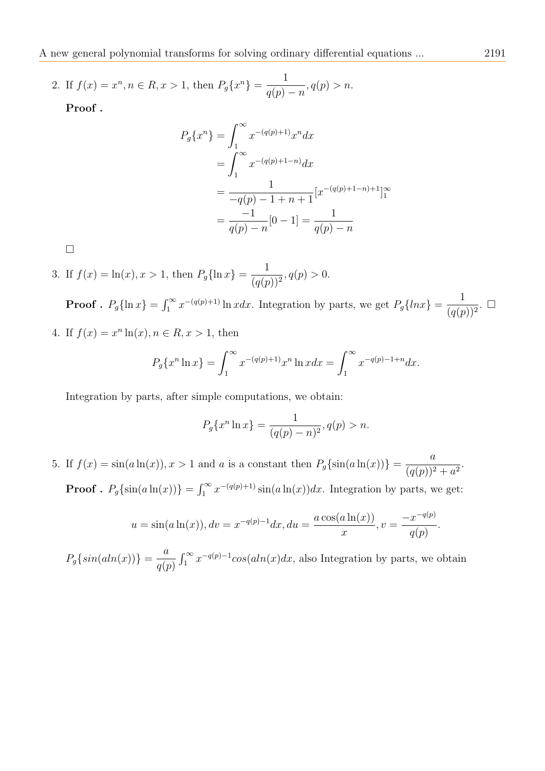A new general polynomial transforms for solving ordinary differential equations ... 2191

2. If  $f(x) = x^n, n \in R, x > 1$ , then  $P_g\{x^n\} = \frac{1}{x(x)}$  $q(p) - n$  $, q(p) > n.$ 

Proof .

$$
P_g\{x^n\} = \int_1^{\infty} x^{-(q(p)+1)} x^n dx
$$
  
= 
$$
\int_1^{\infty} x^{-(q(p)+1-n)} dx
$$
  
= 
$$
\frac{1}{-q(p)-1+n+1} [x^{-(q(p)+1-n)+1}]_1^{\infty}
$$
  
= 
$$
\frac{-1}{q(p)-n} [0-1] = \frac{1}{q(p)-n}
$$

□

3. If 
$$
f(x) = \ln(x), x > 1
$$
, then  $P_g{\ln x} = \frac{1}{(q(p))^2}, q(p) > 0$ .

**Proof** .  $P_g\{\ln x\} = \int_1^\infty x^{-(q(p)+1)} \ln x dx$ . Integration by parts, we get  $P_g\{lnx\} = \frac{1}{(q(x))^{n-1}}$  $(q(p))^{2}$ . □ 4. If  $f(x) = x^n \ln(x), n \in R, x > 1$ , then

$$
P_g\{x^n \ln x\} = \int_1^\infty x^{-(q(p)+1)} x^n \ln x dx = \int_1^\infty x^{-q(p)-1+n} dx.
$$

Integration by parts, after simple computations, we obtain:

$$
P_g\{x^n \ln x\} = \frac{1}{(q(p) - n)^2}, q(p) > n.
$$

5. If  $f(x) = \sin(a \ln(x))$ ,  $x > 1$  and a is a constant then  $P_g\{\sin(a \ln(x))\} = \frac{a}{(x(a))^2}$  $\frac{a}{(q(p))^2+a^2}.$ **Proof** .  $P_g\{\sin(a\ln(x))\} = \int_1^\infty x^{-(q(p)+1)}\sin(a\ln(x))dx$ . Integration by parts, we get:

$$
u = \sin(a \ln(x)), dv = x^{-q(p)-1} dx, du = \frac{a \cos(a \ln(x))}{x}, v = \frac{-x^{-q(p)}}{q(p)}.
$$

 $P_g\{sin(aln(x))\} = \frac{a}{\sqrt{a}}$  $q(p)$  $\int_1^{\infty} x^{-q(p)-1} \cos(\alpha \ln(x) dx)$ , also Integration by parts, we obtain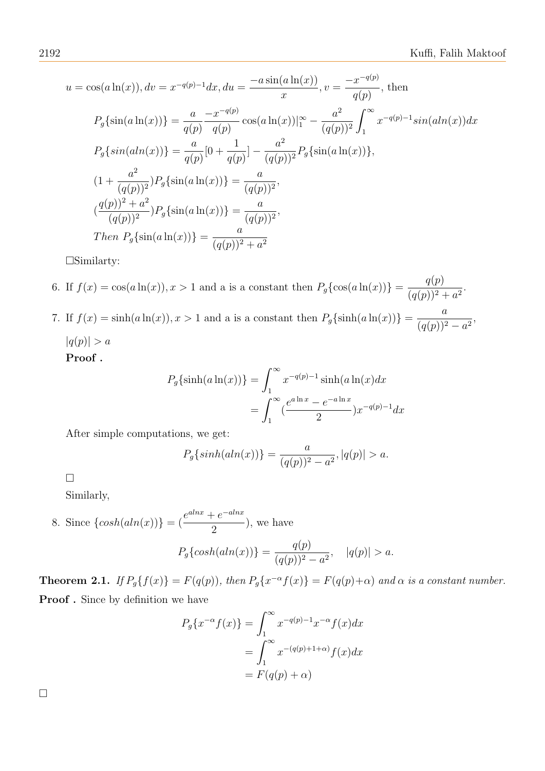$$
u = \cos(a \ln(x)), dv = x^{-q(p)-1} dx, du = \frac{-a \sin(a \ln(x))}{x}, v = \frac{-x^{-q(p)}}{q(p)}, \text{ then}
$$
  
\n
$$
P_g\{\sin(a \ln(x))\} = \frac{a}{q(p)} \frac{-x^{-q(p)}}{q(p)} \cos(a \ln(x))|_1^{\infty} - \frac{a^2}{(q(p))^2} \int_1^{\infty} x^{-q(p)-1} \sin(ah(x)) dx
$$
  
\n
$$
P_g\{\sin(aln(x))\} = \frac{a}{q(p)} [0 + \frac{1}{q(p)}] - \frac{a^2}{(q(p))^2} P_g\{\sin(a \ln(x))\},
$$
  
\n
$$
(1 + \frac{a^2}{(q(p))^2}) P_g\{\sin(a \ln(x))\} = \frac{a}{(q(p))^2},
$$
  
\n
$$
(\frac{q(p))^2 + a^2}{(q(p))^2} P_g\{\sin(a \ln(x))\} = \frac{a}{(q(p))^2},
$$
  
\nThen  $P_g\{\sin(a \ln(x))\} = \frac{a}{(q(p))^2 + a^2}$ 

□Similarty:

6. If  $f(x) = \cos(a \ln(x))$ ,  $x > 1$  and a is a constant then  $P_g\{\cos(a \ln(x))\} = \frac{q(p)}{(q(p))!^2}$  $\frac{q(p)}{(q(p))^2 + a^2}$ . 7. If  $f(x) = \sinh(a \ln(x))$ ,  $x > 1$  and a is a constant then  $P_g\{\sinh(a \ln(x))\} = \frac{a}{(x^2 - 1)^2}$  $\frac{a}{(q(p))^2-a^2},$  $|q(p)| > a$ 

Proof .

$$
P_g\{\sinh(a\ln(x))\} = \int_1^\infty x^{-q(p)-1} \sinh(a\ln(x)dx
$$
  
= 
$$
\int_1^\infty (\frac{e^{a\ln x} - e^{-a\ln x}}{2}) x^{-q(p)-1} dx
$$

After simple computations, we get:

$$
P_g\{sinh(aln(x))\} = \frac{a}{(q(p))^2 - a^2}, |q(p)| > a.
$$

 $> a$ .

□

Similarly,

8. Since 
$$
\{\cosh(aln(x))\} = \left(\frac{e^{alnx} + e^{-alnx}}{2}\right)
$$
, we have\n
$$
P_g\{\cosh(aln(x))\} = \frac{q(p)}{(q(p))^2 - a^2}, \quad |q(p)|
$$

**Theorem 2.1.** If  $P_g\{f(x)\}=F(q(p))$ , then  $P_g\{x^{-\alpha}f(x)\}=F(q(p)+\alpha)$  and  $\alpha$  is a constant number. Proof. Since by definition we have

$$
P_g\{x^{-\alpha}f(x)\} = \int_1^{\infty} x^{-q(p)-1}x^{-\alpha}f(x)dx
$$
  
= 
$$
\int_1^{\infty} x^{-(q(p)+1+\alpha)}f(x)dx
$$
  
= 
$$
F(q(p) + \alpha)
$$

□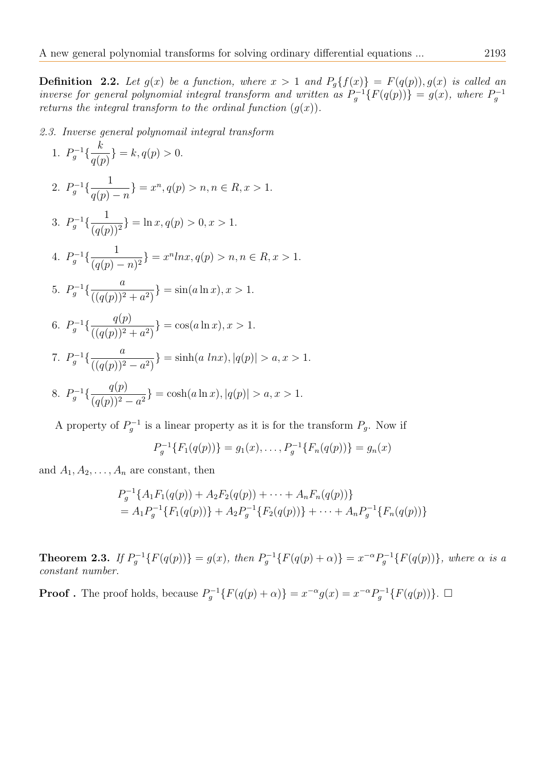**Definition 2.2.** Let  $g(x)$  be a function, where  $x > 1$  and  $P_g{f(x)} = F(q(p)), g(x)$  is called an inverse for general polynomial integral transform and written as  $P_g^{-1}{F(q(p))} = g(x)$ , where  $P_g^{-1}$ returns the integral transform to the ordinal function  $(g(x))$ .

2.3. Inverse general polynomail integral transform

1. 
$$
P_g^{-1}\left\{\frac{k}{q(p)}\right\} = k, q(p) > 0.
$$
  
\n2.  $P_g^{-1}\left\{\frac{1}{q(p)-n}\right\} = x^n, q(p) > n, n \in R, x > 1.$   
\n3.  $P_g^{-1}\left\{\frac{1}{(q(p))^2}\right\} = \ln x, q(p) > 0, x > 1.$   
\n4.  $P_g^{-1}\left\{\frac{1}{(q(p)-n)^2}\right\} = x^n \ln x, q(p) > n, n \in R, x > 1.$   
\n5.  $P_g^{-1}\left\{\frac{a}{((q(p))^2 + a^2)}\right\} = \sin(a \ln x), x > 1.$   
\n6.  $P_g^{-1}\left\{\frac{q(p)}{((q(p))^2 + a^2)}\right\} = \cos(a \ln x), x > 1.$   
\n7.  $P_g^{-1}\left\{\frac{a}{((q(p))^2 - a^2)}\right\} = \sinh(a \ln x), |q(p)| > a, x > 1.$   
\n8.  $P_g^{-1}\left\{\frac{q(p)}{q(p)^2 - a^2}\right\} = \cosh(a \ln x), |q(p)| > a, x > 1.$ 

A property of  $P_g^{-1}$  is a linear property as it is for the transform  $P_g$ . Now if

$$
P_g^{-1}\{F_1(q(p))\} = g_1(x), \ldots, P_g^{-1}\{F_n(q(p))\} = g_n(x)
$$

and  $A_1, A_2, \ldots, A_n$  are constant, then

$$
P_g^{-1}\lbrace A_1F_1(q(p)) + A_2F_2(q(p)) + \cdots + A_nF_n(q(p))\rbrace
$$
  
=  $A_1P_g^{-1}\lbrace F_1(q(p))\rbrace + A_2P_g^{-1}\lbrace F_2(q(p))\rbrace + \cdots + A_nP_g^{-1}\lbrace F_n(q(p))\rbrace$ 

**Theorem 2.3.** If  $P_g^{-1}{F(q(p))} = g(x)$ , then  $P_g^{-1}{F(q(p) + \alpha)} = x^{-\alpha}P_g^{-1}{F(q(p))}$ , where  $\alpha$  is a constant number.

**Proof**. The proof holds, because  $P_g^{-1}{F(q(p) + \alpha)} = x^{-\alpha}g(x) = x^{-\alpha}P_g^{-1}{F(q(p))}.$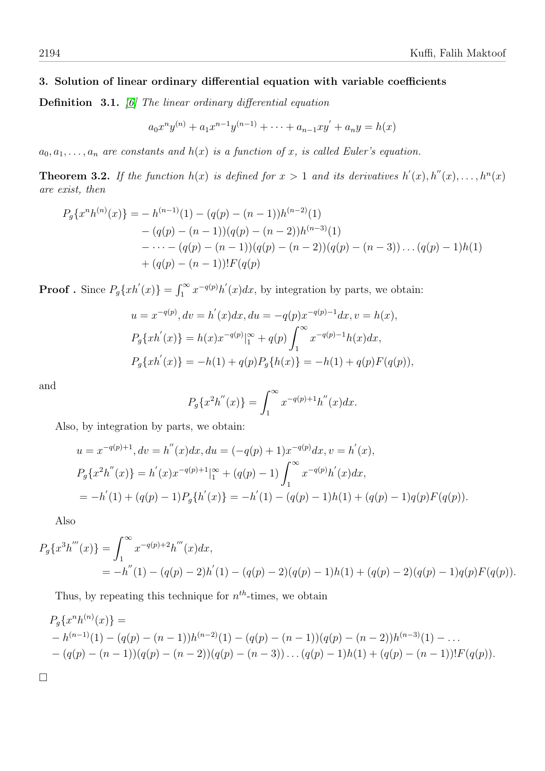# 3. Solution of linear ordinary differential equation with variable coefficients

Definition 3.1. [\[6\]](#page-7-7) The linear ordinary differential equation

$$
a_0x^n y^{(n)} + a_1x^{n-1}y^{(n-1)} + \dots + a_{n-1}xy' + a_ny = h(x)
$$

 $a_0, a_1, \ldots, a_n$  are constants and  $h(x)$  is a function of x, is called Euler's equation.

**Theorem 3.2.** If the function  $h(x)$  is defined for  $x > 1$  and its derivatives  $h'(x), h''(x), \ldots, h^{n}(x)$ are exist, then

$$
P_g\{x^n h^{(n)}(x)\} = -h^{(n-1)}(1) - (q(p) - (n-1))h^{(n-2)}(1)
$$
  
 
$$
- (q(p) - (n-1))(q(p) - (n-2))h^{(n-3)}(1)
$$
  
 
$$
- \cdots - (q(p) - (n-1))(q(p) - (n-2))(q(p) - (n-3)) \cdots (q(p) - 1)h(1)
$$
  
 
$$
+ (q(p) - (n-1))!F(q(p)
$$

**Proof**. Since  $P_g\{xh'(x)\} = \int_1^\infty x^{-q(p)}h'(x)dx$ , by integration by parts, we obtain:

$$
u = x^{-q(p)}, dv = h'(x)dx, du = -q(p)x^{-q(p)-1}dx, v = h(x),
$$
  
\n
$$
P_g\{xh'(x)\} = h(x)x^{-q(p)}|_1^{\infty} + q(p)\int_1^{\infty} x^{-q(p)-1}h(x)dx,
$$
  
\n
$$
P_g\{xh'(x)\} = -h(1) + q(p)P_g\{h(x)\} = -h(1) + q(p)F(q(p)),
$$

and

$$
P_g\{x^2h''(x)\} = \int_1^\infty x^{-q(p)+1}h''(x)dx.
$$

Also, by integration by parts, we obtain:

$$
u = x^{-q(p)+1}, dv = h''(x)dx, du = (-q(p)+1)x^{-q(p)}dx, v = h'(x),
$$
  
\n
$$
P_g\{x^2h''(x)\} = h'(x)x^{-q(p)+1}|_1^{\infty} + (q(p)-1)\int_1^{\infty} x^{-q(p)}h'(x)dx,
$$
  
\n
$$
= -h'(1) + (q(p)-1)P_g\{h'(x)\} = -h'(1) - (q(p)-1)h(1) + (q(p)-1)q(p)F(q(p)).
$$

Also

$$
P_g\{x^3h'''(x)\} = \int_1^{\infty} x^{-q(p)+2}h'''(x)dx,
$$
  
=  $-h''(1) - (q(p) - 2)h'(1) - (q(p) - 2)(q(p) - 1)h(1) + (q(p) - 2)(q(p) - 1)q(p)F(q(p)).$ 

Thus, by repeating this technique for  $n^{th}$ -times, we obtain

$$
P_g\{x^n h^{(n)}(x)\} =
$$
  
- h<sup>(n-1)</sup>(1) - (q(p) - (n - 1))h<sup>(n-2)</sup>(1) - (q(p) - (n - 1))(q(p) - (n - 2))h<sup>(n-3)</sup>(1) - ...  
- (q(p) - (n - 1))(q(p) - (n - 2))(q(p) - (n - 3)) ... (q(p) - 1)h(1) + (q(p) - (n - 1))!F(q(p)).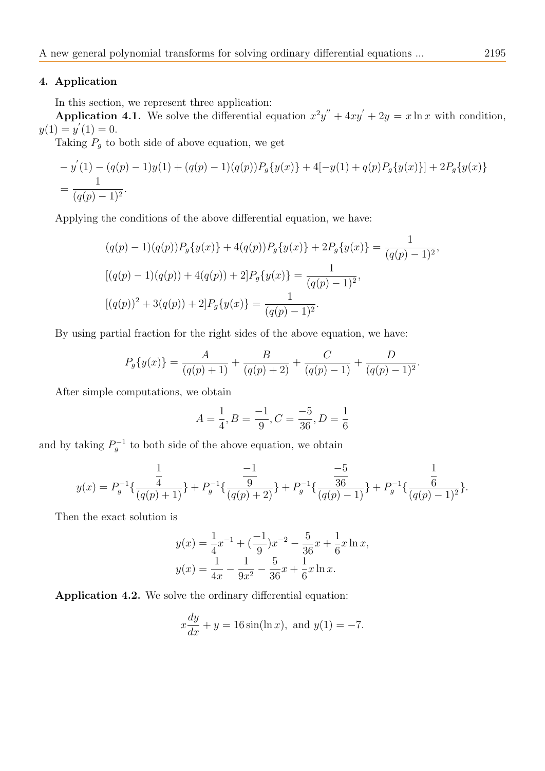## 4. Application

In this section, we represent three application:

**Application 4.1.** We solve the differential equation  $x^2y'' + 4xy' + 2y = x \ln x$  with condition,  $y(1) = y'(1) = 0.$ 

Taking  $P_g$  to both side of above equation, we get

$$
-y'(1) - (q(p) - 1)y(1) + (q(p) - 1)(q(p))P_g\{y(x)\} + 4[-y(1) + q(p)P_g\{y(x)\}] + 2P_g\{y(x)\}
$$
  
= 
$$
\frac{1}{(q(p) - 1)^2}.
$$

Applying the conditions of the above differential equation, we have:

$$
(q(p) - 1)(q(p))P_g\{y(x)\} + 4(q(p))P_g\{y(x)\} + 2P_g\{y(x)\} = \frac{1}{(q(p) - 1)^2},
$$
  

$$
[(q(p) - 1)(q(p)) + 4(q(p)) + 2]P_g\{y(x)\} = \frac{1}{(q(p) - 1)^2},
$$
  

$$
[(q(p))^2 + 3(q(p)) + 2]P_g\{y(x)\} = \frac{1}{(q(p) - 1)^2}.
$$

By using partial fraction for the right sides of the above equation, we have:

$$
P_g\{y(x)\} = \frac{A}{(q(p)+1)} + \frac{B}{(q(p)+2)} + \frac{C}{(q(p)-1)} + \frac{D}{(q(p)-1)^2}.
$$

After simple computations, we obtain

$$
A = \frac{1}{4}, B = \frac{-1}{9}, C = \frac{-5}{36}, D = \frac{1}{6}
$$

and by taking  $P_g^{-1}$  to both side of the above equation, we obtain

$$
y(x) = P_g^{-1}\left\{\frac{\frac{1}{4}}{(q(p)+1)}\right\} + P_g^{-1}\left\{\frac{-1}{\frac{9}{(q(p)+2)}}\right\} + P_g^{-1}\left\{\frac{-5}{\frac{36}{(q(p)-1)}}\right\} + P_g^{-1}\left\{\frac{\frac{1}{6}}{(q(p)-1)^2}\right\}.
$$

Then the exact solution is

$$
y(x) = \frac{1}{4}x^{-1} + \left(\frac{-1}{9}\right)x^{-2} - \frac{5}{36}x + \frac{1}{6}x \ln x,
$$
  

$$
y(x) = \frac{1}{4x} - \frac{1}{9x^2} - \frac{5}{36}x + \frac{1}{6}x \ln x.
$$

Application 4.2. We solve the ordinary differential equation:

$$
x\frac{dy}{dx} + y = 16\sin(\ln x)
$$
, and  $y(1) = -7$ .